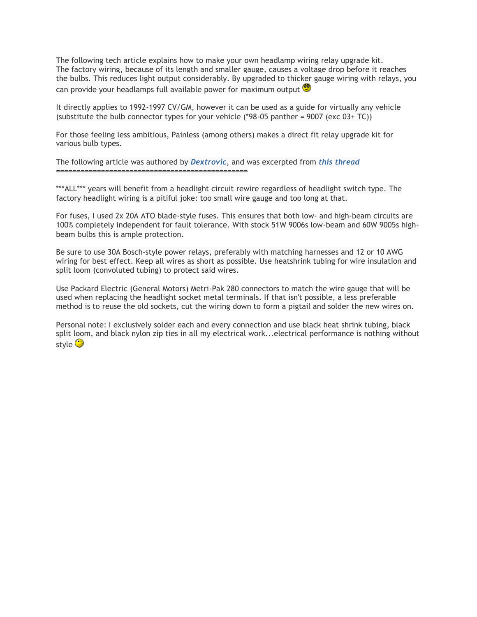The following tech article explains how to make your own headlamp wiring relay upgrade kit. The factory wiring, because of its length and smaller gauge, causes a voltage drop before it reaches the bulbs. This reduces light output considerably. By upgraded to thicker gauge wiring with relays, you can provide your headlamps full available power for maximum output

It directly applies to 1992-1997 CV/GM, however it can be used as a guide for virtually any vehicle (substitute the bulb connector types for your vehicle  $(*98-05$  panther = 9007 (exc 03+ TC))

For those feeling less ambitious, Painless (among others) makes a direct fit relay upgrade kit for various bulb types.

The following article was authored by *[Dextrovic](https://www.crownvic.net/ubbthreads/ubbthreads.php?ubb=showprofile&User=723)*, and was excerpted from *[this thread](https://www.crownvic.net/ubbthreads/ubbthreads.php?ubb=showflat&Board=2&Number=307989&Searchpage=1&Main=25356&Words=packard+Dextrovic&topic=0&Search=true#Post307989)* ===============================================

\*\*\*ALL\*\*\* years will benefit from a headlight circuit rewire regardless of headlight switch type. The factory headlight wiring is a pitiful joke: too small wire gauge and too long at that.

For fuses, I used 2x 20A ATO blade-style fuses. This ensures that both low- and high-beam circuits are 100% completely independent for fault tolerance. With stock 51W 9006s low-beam and 60W 9005s highbeam bulbs this is ample protection.

Be sure to use 30A Bosch-style power relays, preferably with matching harnesses and 12 or 10 AWG wiring for best effect. Keep all wires as short as possible. Use heatshrink tubing for wire insulation and split loom (convoluted tubing) to protect said wires.

Use Packard Electric (General Motors) Metri-Pak 280 connectors to match the wire gauge that will be used when replacing the headlight socket metal terminals. If that isn't possible, a less preferable method is to reuse the old sockets, cut the wiring down to form a pigtail and solder the new wires on.

Personal note: I exclusively solder each and every connection and use black heat shrink tubing, black split loom, and black nylon zip ties in all my electrical work...electrical performance is nothing without style **S**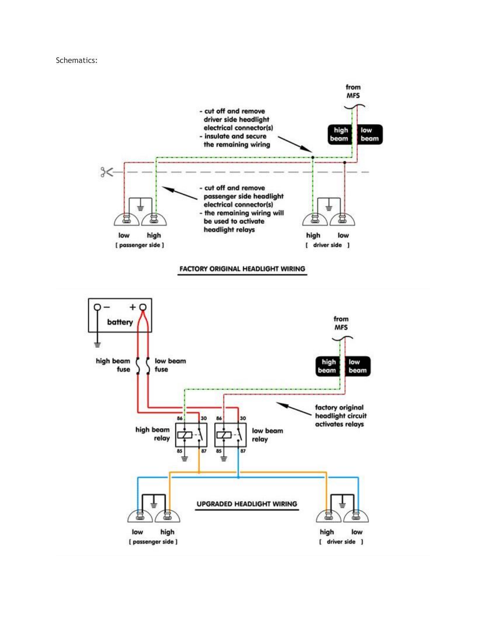## Schematics:

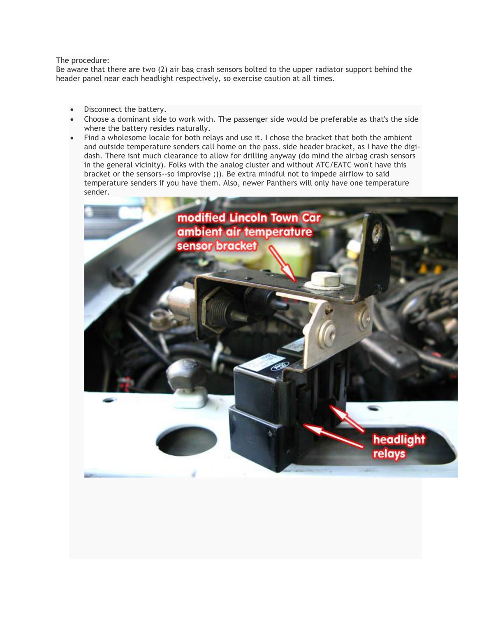## The procedure:

Be aware that there are two (2) air bag crash sensors bolted to the upper radiator support behind the header panel near each headlight respectively, so exercise caution at all times.

- Disconnect the battery.
- Choose a dominant side to work with. The passenger side would be preferable as that's the side where the battery resides naturally.
- Find a wholesome locale for both relays and use it. I chose the bracket that both the ambient and outside temperature senders call home on the pass. side header bracket, as I have the digidash. There isnt much clearance to allow for drilling anyway (do mind the airbag crash sensors in the general vicinity). Folks with the analog cluster and without ATC/EATC won't have this bracket or the sensors--so improvise ;)). Be extra mindful not to impede airflow to said temperature senders if you have them. Also, newer Panthers will only have one temperature sender.

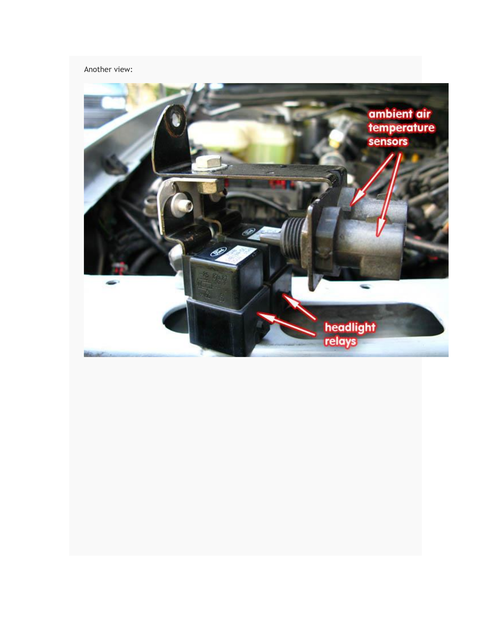## Another view:

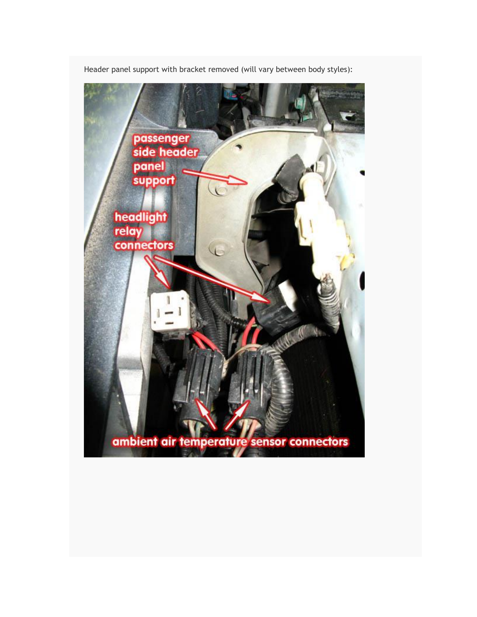

Header panel support with bracket removed (will vary between body styles):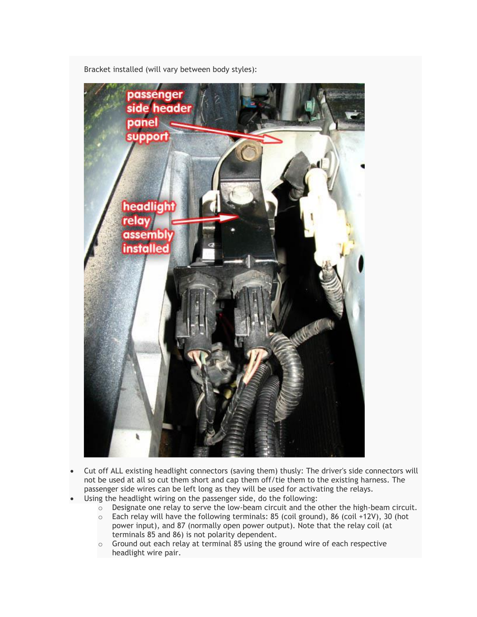

Bracket installed (will vary between body styles):

- Cut off ALL existing headlight connectors (saving them) thusly: The driver's side connectors will not be used at all so cut them short and cap them off/tie them to the existing harness. The passenger side wires can be left long as they will be used for activating the relays.
	- Using the headlight wiring on the passenger side, do the following:
		- $\circ$  Designate one relay to serve the low-beam circuit and the other the high-beam circuit.
		- $\circ$  Each relay will have the following terminals: 85 (coil ground), 86 (coil +12V), 30 (hot power input), and 87 (normally open power output). Note that the relay coil (at terminals 85 and 86) is not polarity dependent.
		- o Ground out each relay at terminal 85 using the ground wire of each respective headlight wire pair.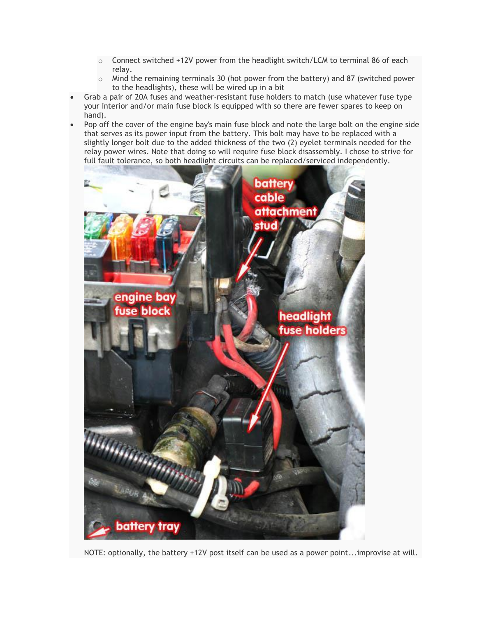- o Connect switched +12V power from the headlight switch/LCM to terminal 86 of each relay.
- $\circ$  Mind the remaining terminals 30 (hot power from the battery) and 87 (switched power to the headlights), these will be wired up in a bit
- Grab a pair of 20A fuses and weather-resistant fuse holders to match (use whatever fuse type your interior and/or main fuse block is equipped with so there are fewer spares to keep on hand).
- Pop off the cover of the engine bay's main fuse block and note the large bolt on the engine side that serves as its power input from the battery. This bolt may have to be replaced with a slightly longer bolt due to the added thickness of the two (2) eyelet terminals needed for the relay power wires. Note that doing so will require fuse block disassembly. I chose to strive for full fault tolerance, so both headlight circuits can be replaced/serviced independently.



NOTE: optionally, the battery +12V post itself can be used as a power point...improvise at will.